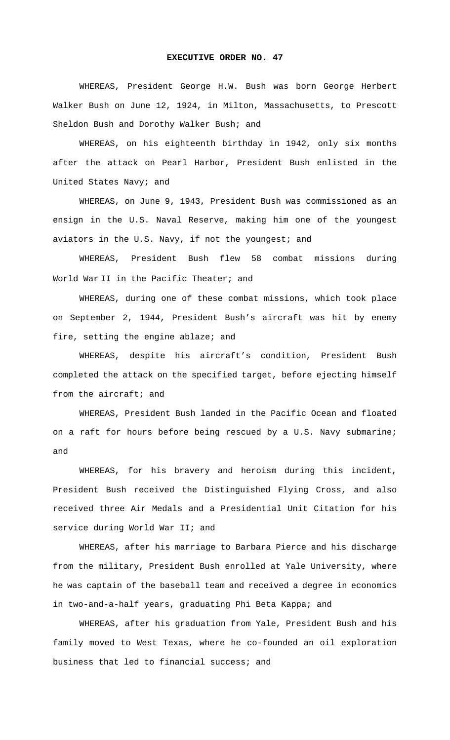## **EXECUTIVE ORDER NO. 47**

WHEREAS, President George H.W. Bush was born George Herbert Walker Bush on June 12, 1924, in Milton, Massachusetts, to Prescott Sheldon Bush and Dorothy Walker Bush; and

WHEREAS, on his eighteenth birthday in 1942, only six months after the attack on Pearl Harbor, President Bush enlisted in the United States Navy; and

WHEREAS, on June 9, 1943, President Bush was commissioned as an ensign in the U.S. Naval Reserve, making him one of the youngest aviators in the U.S. Navy, if not the youngest; and

WHEREAS, President Bush flew 58 combat missions during World War II in the Pacific Theater; and

WHEREAS, during one of these combat missions, which took place on September 2, 1944, President Bush's aircraft was hit by enemy fire, setting the engine ablaze; and

WHEREAS, despite his aircraft's condition, President Bush completed the attack on the specified target, before ejecting himself from the aircraft; and

WHEREAS, President Bush landed in the Pacific Ocean and floated on a raft for hours before being rescued by a U.S. Navy submarine; and

WHEREAS, for his bravery and heroism during this incident, President Bush received the Distinguished Flying Cross, and also received three Air Medals and a Presidential Unit Citation for his service during World War II; and

WHEREAS, after his marriage to Barbara Pierce and his discharge from the military, President Bush enrolled at Yale University, where he was captain of the baseball team and received a degree in economics in two-and-a-half years, graduating Phi Beta Kappa; and

WHEREAS, after his graduation from Yale, President Bush and his family moved to West Texas, where he co-founded an oil exploration business that led to financial success; and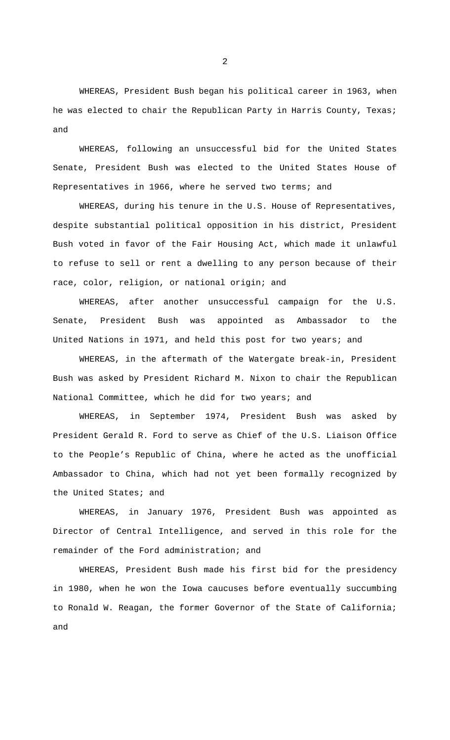WHEREAS, President Bush began his political career in 1963, when he was elected to chair the Republican Party in Harris County, Texas; and

WHEREAS, following an unsuccessful bid for the United States Senate, President Bush was elected to the United States House of Representatives in 1966, where he served two terms; and

WHEREAS, during his tenure in the U.S. House of Representatives, despite substantial political opposition in his district, President Bush voted in favor of the Fair Housing Act, which made it unlawful to refuse to sell or rent a dwelling to any person because of their race, color, religion, or national origin; and

WHEREAS, after another unsuccessful campaign for the U.S. Senate, President Bush was appointed as Ambassador to the United Nations in 1971, and held this post for two years; and

WHEREAS, in the aftermath of the Watergate break-in, President Bush was asked by President Richard M. Nixon to chair the Republican National Committee, which he did for two years; and

WHEREAS, in September 1974, President Bush was asked by President Gerald R. Ford to serve as Chief of the U.S. Liaison Office to the People's Republic of China, where he acted as the unofficial Ambassador to China, which had not yet been formally recognized by the United States; and

WHEREAS, in January 1976, President Bush was appointed as Director of Central Intelligence, and served in this role for the remainder of the Ford administration; and

WHEREAS, President Bush made his first bid for the presidency in 1980, when he won the Iowa caucuses before eventually succumbing to Ronald W. Reagan, the former Governor of the State of California; and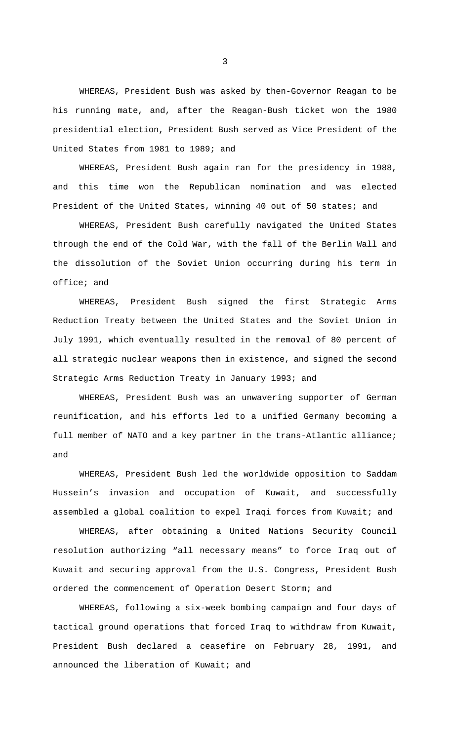WHEREAS, President Bush was asked by then-Governor Reagan to be his running mate, and, after the Reagan-Bush ticket won the 1980 presidential election, President Bush served as Vice President of the United States from 1981 to 1989; and

WHEREAS, President Bush again ran for the presidency in 1988, and this time won the Republican nomination and was elected President of the United States, winning 40 out of 50 states; and

WHEREAS, President Bush carefully navigated the United States through the end of the Cold War, with the fall of the Berlin Wall and the dissolution of the Soviet Union occurring during his term in office; and

WHEREAS, President Bush signed the first Strategic Arms Reduction Treaty between the United States and the Soviet Union in July 1991, which eventually resulted in the removal of 80 percent of all strategic nuclear weapons then in existence, and signed the second Strategic Arms Reduction Treaty in January 1993; and

WHEREAS, President Bush was an unwavering supporter of German reunification, and his efforts led to a unified Germany becoming a full member of NATO and a key partner in the trans-Atlantic alliance; and

WHEREAS, President Bush led the worldwide opposition to Saddam Hussein's invasion and occupation of Kuwait, and successfully assembled a global coalition to expel Iraqi forces from Kuwait; and

WHEREAS, after obtaining a United Nations Security Council resolution authorizing "all necessary means" to force Iraq out of Kuwait and securing approval from the U.S. Congress, President Bush ordered the commencement of Operation Desert Storm; and

WHEREAS, following a six-week bombing campaign and four days of tactical ground operations that forced Iraq to withdraw from Kuwait, President Bush declared a ceasefire on February 28, 1991, and announced the liberation of Kuwait; and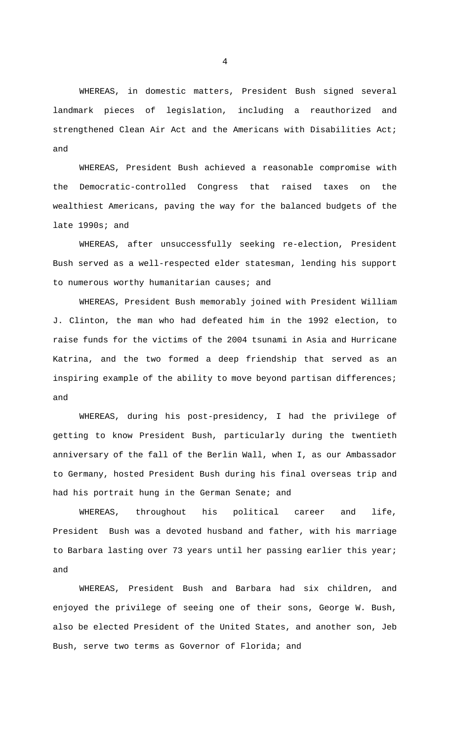WHEREAS, in domestic matters, President Bush signed several landmark pieces of legislation, including a reauthorized and strengthened Clean Air Act and the Americans with Disabilities Act; and

WHEREAS, President Bush achieved a reasonable compromise with the Democratic-controlled Congress that raised taxes on the wealthiest Americans, paving the way for the balanced budgets of the late 1990s; and

WHEREAS, after unsuccessfully seeking re-election, President Bush served as a well-respected elder statesman, lending his support to numerous worthy humanitarian causes; and

WHEREAS, President Bush memorably joined with President William J. Clinton, the man who had defeated him in the 1992 election, to raise funds for the victims of the 2004 tsunami in Asia and Hurricane Katrina, and the two formed a deep friendship that served as an inspiring example of the ability to move beyond partisan differences; and

WHEREAS, during his post-presidency, I had the privilege of getting to know President Bush, particularly during the twentieth anniversary of the fall of the Berlin Wall, when I, as our Ambassador to Germany, hosted President Bush during his final overseas trip and had his portrait hung in the German Senate; and

WHEREAS, throughout his political career and life, President Bush was a devoted husband and father, with his marriage to Barbara lasting over 73 years until her passing earlier this year; and

WHEREAS, President Bush and Barbara had six children, and enjoyed the privilege of seeing one of their sons, George W. Bush, also be elected President of the United States, and another son, Jeb Bush, serve two terms as Governor of Florida; and